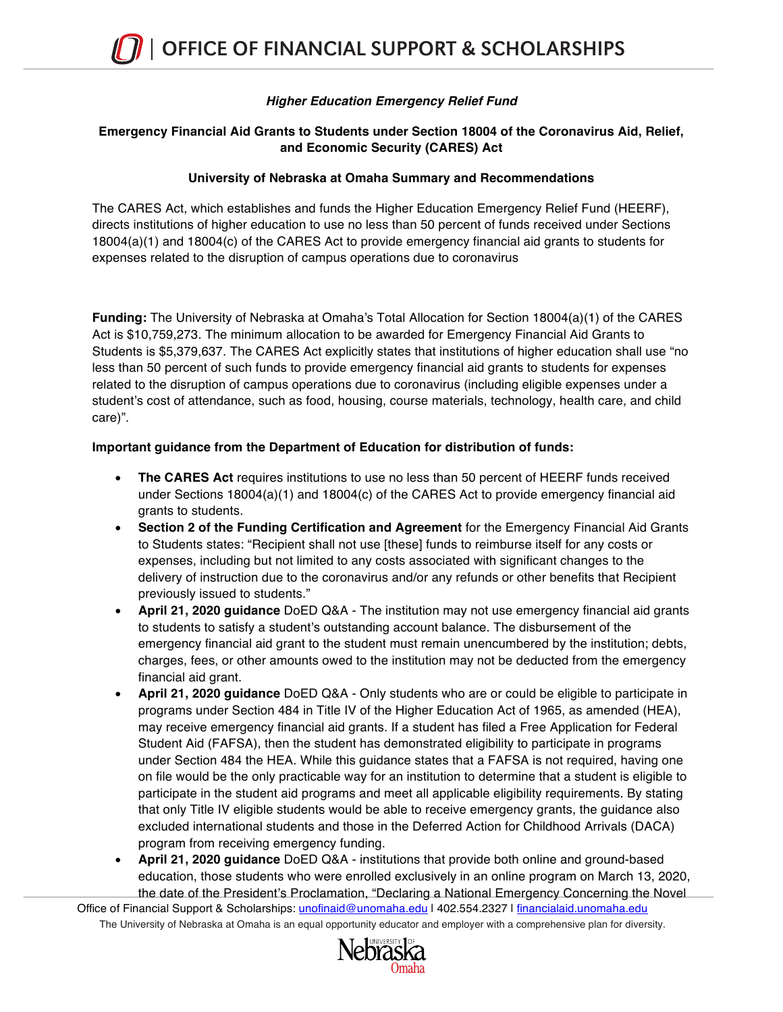## *Higher Education Emergency Relief Fund*

### **Emergency Financial Aid Grants to Students under Section 18004 of the Coronavirus Aid, Relief, and Economic Security (CARES) Act**

#### **University of Nebraska at Omaha Summary and Recommendations**

The CARES Act, which establishes and funds the Higher Education Emergency Relief Fund (HEERF), directs institutions of higher education to use no less than 50 percent of funds received under Sections 18004(a)(1) and 18004(c) of the CARES Act to provide emergency financial aid grants to students for expenses related to the disruption of campus operations due to coronavirus

**Funding:** The University of Nebraska at Omaha's Total Allocation for Section 18004(a)(1) of the CARES Act is \$10,759,273. The minimum allocation to be awarded for Emergency Financial Aid Grants to Students is \$5,379,637. The CARES Act explicitly states that institutions of higher education shall use "no less than 50 percent of such funds to provide emergency financial aid grants to students for expenses related to the disruption of campus operations due to coronavirus (including eligible expenses under a student's cost of attendance, such as food, housing, course materials, technology, health care, and child care)".

#### **Important guidance from the Department of Education for distribution of funds:**

- **The CARES Act** requires institutions to use no less than 50 percent of HEERF funds received under Sections 18004(a)(1) and 18004(c) of the CARES Act to provide emergency financial aid grants to students.
- **Section 2 of the Funding Certification and Agreement** for the Emergency Financial Aid Grants to Students states: "Recipient shall not use [these] funds to reimburse itself for any costs or expenses, including but not limited to any costs associated with significant changes to the delivery of instruction due to the coronavirus and/or any refunds or other benefits that Recipient previously issued to students."
- **April 21, 2020 guidance** DoED Q&A The institution may not use emergency financial aid grants to students to satisfy a student's outstanding account balance. The disbursement of the emergency financial aid grant to the student must remain unencumbered by the institution; debts, charges, fees, or other amounts owed to the institution may not be deducted from the emergency financial aid grant.
- **April 21, 2020 guidance** DoED Q&A Only students who are or could be eligible to participate in programs under Section 484 in Title IV of the Higher Education Act of 1965, as amended (HEA), may receive emergency financial aid grants. If a student has filed a Free Application for Federal Student Aid (FAFSA), then the student has demonstrated eligibility to participate in programs under Section 484 the HEA. While this guidance states that a FAFSA is not required, having one on file would be the only practicable way for an institution to determine that a student is eligible to participate in the student aid programs and meet all applicable eligibility requirements. By stating that only Title IV eligible students would be able to receive emergency grants, the guidance also excluded international students and those in the Deferred Action for Childhood Arrivals (DACA) program from receiving emergency funding.
- **April 21, 2020 guidance** DoED Q&A institutions that provide both online and ground-based education, those students who were enrolled exclusively in an online program on March 13, 2020, the date of the President's Proclamation, "Declaring a National Emergency Concerning the Novel

The University of Nebraska at Omaha is an equal opportunity educator and employer with a comprehensive plan for diversity. Office of Financial Support & Scholarships: unofinaid@unomaha.edu | 402.554.2327 | financialaid.unomaha.edu

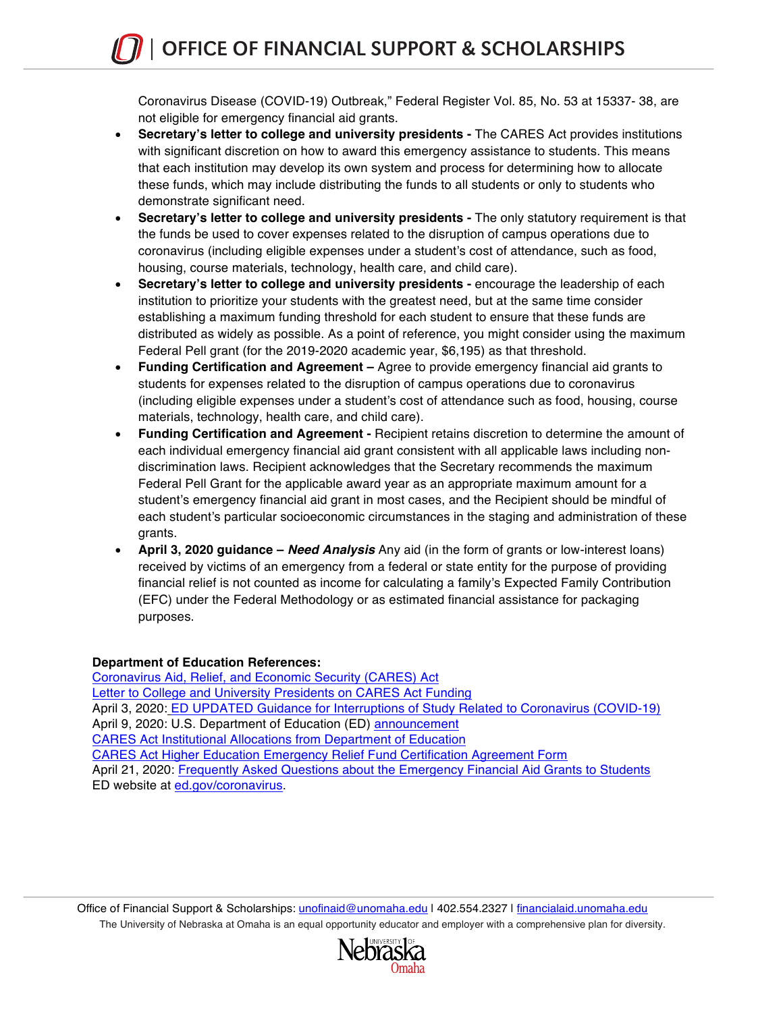Coronavirus Disease (COVID-19) Outbreak," Federal Register Vol. 85, No. 53 at 15337- 38, are not eligible for emergency financial aid grants.

- **Secretary's letter to college and university presidents -** The CARES Act provides institutions with significant discretion on how to award this emergency assistance to students. This means that each institution may develop its own system and process for determining how to allocate these funds, which may include distributing the funds to all students or only to students who demonstrate significant need.
- **Secretary's letter to college and university presidents -** The only statutory requirement is that the funds be used to cover expenses related to the disruption of campus operations due to coronavirus (including eligible expenses under a student's cost of attendance, such as food, housing, course materials, technology, health care, and child care).
- **Secretary's letter to college and university presidents -** encourage the leadership of each institution to prioritize your students with the greatest need, but at the same time consider establishing a maximum funding threshold for each student to ensure that these funds are distributed as widely as possible. As a point of reference, you might consider using the maximum Federal Pell grant (for the 2019-2020 academic year, \$6,195) as that threshold.
- **Funding Certification and Agreement –** Agree to provide emergency financial aid grants to students for expenses related to the disruption of campus operations due to coronavirus (including eligible expenses under a student's cost of attendance such as food, housing, course materials, technology, health care, and child care).
- **Funding Certification and Agreement -** Recipient retains discretion to determine the amount of each individual emergency financial aid grant consistent with all applicable laws including nondiscrimination laws. Recipient acknowledges that the Secretary recommends the maximum Federal Pell Grant for the applicable award year as an appropriate maximum amount for a student's emergency financial aid grant in most cases, and the Recipient should be mindful of each student's particular socioeconomic circumstances in the staging and administration of these grants.
- **April 3, 2020 guidance –** *Need Analysis* Any aid (in the form of grants or low-interest loans) received by victims of an emergency from a federal or state entity for the purpose of providing financial relief is not counted as income for calculating a family's Expected Family Contribution (EFC) under the Federal Methodology or as estimated financial assistance for packaging purposes.

#### **Department of Education References:**

Coronavirus Aid, Relief, and Economic Security (CARES) Act Letter to College and University Presidents on CARES Act Funding April 3, 2020: ED UPDATED Guidance for Interruptions of Study Related to Coronavirus (COVID-19) April 9, 2020: U.S. Department of Education (ED) announcement CARES Act Institutional Allocations from Department of Education CARES Act Higher Education Emergency Relief Fund Certification Agreement Form April 21, 2020: Frequently Asked Questions about the Emergency Financial Aid Grants to Students ED website at ed.gov/coronavirus.

The University of Nebraska at Omaha is an equal opportunity educator and employer with a comprehensive plan for diversity. Office of Financial Support & Scholarships: unofinaid@unomaha.edu | 402.554.2327 | financialaid.unomaha.edu